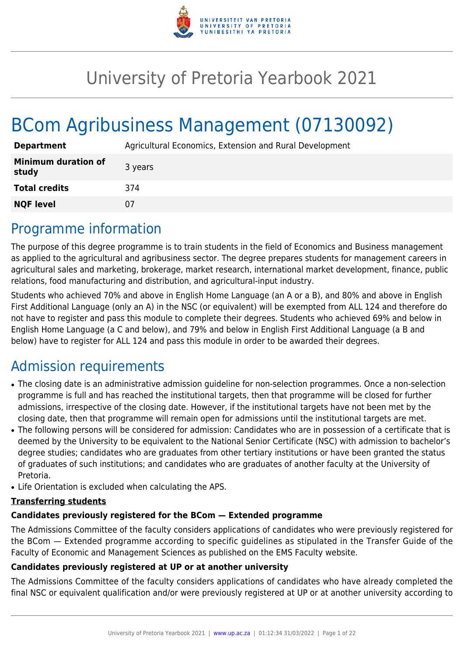

# University of Pretoria Yearbook 2021

# BCom Agribusiness Management (07130092)

| <b>Department</b>                   | Agricultural Economics, Extension and Rural Development |
|-------------------------------------|---------------------------------------------------------|
| <b>Minimum duration of</b><br>study | 3 years                                                 |
| <b>Total credits</b>                | 374                                                     |
| <b>NQF level</b>                    | 07                                                      |

## Programme information

The purpose of this degree programme is to train students in the field of Economics and Business management as applied to the agricultural and agribusiness sector. The degree prepares students for management careers in agricultural sales and marketing, brokerage, market research, international market development, finance, public relations, food manufacturing and distribution, and agricultural-input industry.

Students who achieved 70% and above in English Home Language (an A or a B), and 80% and above in English First Additional Language (only an A) in the NSC (or equivalent) will be exempted from ALL 124 and therefore do not have to register and pass this module to complete their degrees. Students who achieved 69% and below in English Home Language (a C and below), and 79% and below in English First Additional Language (a B and below) have to register for ALL 124 and pass this module in order to be awarded their degrees.

## Admission requirements

- The closing date is an administrative admission guideline for non-selection programmes. Once a non-selection programme is full and has reached the institutional targets, then that programme will be closed for further admissions, irrespective of the closing date. However, if the institutional targets have not been met by the closing date, then that programme will remain open for admissions until the institutional targets are met.
- The following persons will be considered for admission: Candidates who are in possession of a certificate that is deemed by the University to be equivalent to the National Senior Certificate (NSC) with admission to bachelor's degree studies; candidates who are graduates from other tertiary institutions or have been granted the status of graduates of such institutions; and candidates who are graduates of another faculty at the University of Pretoria.
- Life Orientation is excluded when calculating the APS.

## **Transferring students**

## **Candidates previously registered for the BCom — Extended programme**

The Admissions Committee of the faculty considers applications of candidates who were previously registered for the BCom — Extended programme according to specific guidelines as stipulated in the Transfer Guide of the Faculty of Economic and Management Sciences as published on the EMS Faculty website.

## **Candidates previously registered at UP or at another university**

The Admissions Committee of the faculty considers applications of candidates who have already completed the final NSC or equivalent qualification and/or were previously registered at UP or at another university according to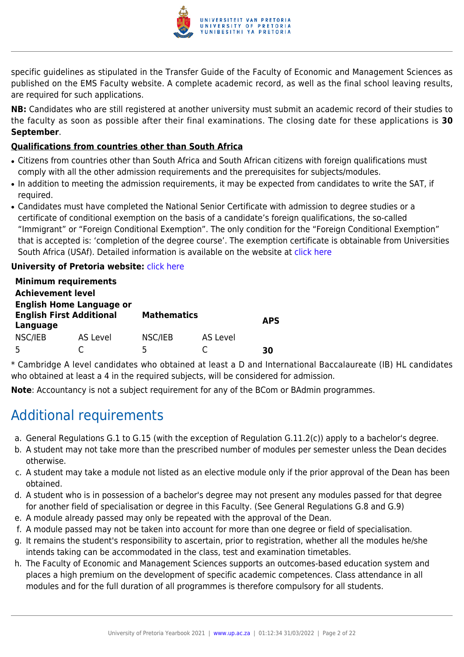

specific guidelines as stipulated in the Transfer Guide of the Faculty of Economic and Management Sciences as published on the EMS Faculty website. A complete academic record, as well as the final school leaving results, are required for such applications.

**NB:** Candidates who are still registered at another university must submit an academic record of their studies to the faculty as soon as possible after their final examinations. The closing date for these applications is **30 September**.

## **Qualifications from countries other than South Africa**

- Citizens from countries other than South Africa and South African citizens with foreign qualifications must comply with all the other admission requirements and the prerequisites for subjects/modules.
- In addition to meeting the admission requirements, it may be expected from candidates to write the SAT, if required.
- Candidates must have completed the National Senior Certificate with admission to degree studies or a certificate of conditional exemption on the basis of a candidate's foreign qualifications, the so-called "Immigrant" or "Foreign Conditional Exemption". The only condition for the "Foreign Conditional Exemption" that is accepted is: 'completion of the degree course'. The exemption certificate is obtainable from Universities South Africa (USAf). Detailed information is available on the website at [click here](http://mb.usaf.ac.za)

## **University of Pretoria website: [click here](http://www.up.ac.za/ems)**

|                          | <b>Minimum requirements</b>                                        |                    |          |            |
|--------------------------|--------------------------------------------------------------------|--------------------|----------|------------|
| <b>Achievement level</b> |                                                                    |                    |          |            |
| Language                 | <b>English Home Language or</b><br><b>English First Additional</b> | <b>Mathematics</b> |          | <b>APS</b> |
| NSC/IEB                  | AS Level                                                           | NSC/IEB            | AS Level |            |
| .5                       |                                                                    | 5                  |          | RЛ         |

\* Cambridge A level candidates who obtained at least a D and International Baccalaureate (IB) HL candidates who obtained at least a 4 in the required subjects, will be considered for admission.

**Note**: Accountancy is not a subject requirement for any of the BCom or BAdmin programmes.

## Additional requirements

- a. General Regulations G.1 to G.15 (with the exception of Regulation G.11.2(c)) apply to a bachelor's degree.
- b. A student may not take more than the prescribed number of modules per semester unless the Dean decides otherwise.
- c. A student may take a module not listed as an elective module only if the prior approval of the Dean has been obtained.
- d. A student who is in possession of a bachelor's degree may not present any modules passed for that degree for another field of specialisation or degree in this Faculty. (See General Regulations G.8 and G.9)
- e. A module already passed may only be repeated with the approval of the Dean.
- f. A module passed may not be taken into account for more than one degree or field of specialisation.
- g. It remains the student's responsibility to ascertain, prior to registration, whether all the modules he/she intends taking can be accommodated in the class, test and examination timetables.
- h. The Faculty of Economic and Management Sciences supports an outcomes-based education system and places a high premium on the development of specific academic competences. Class attendance in all modules and for the full duration of all programmes is therefore compulsory for all students.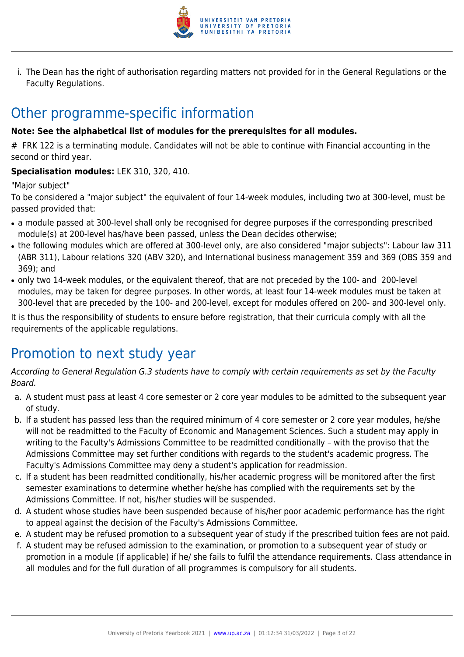

i. The Dean has the right of authorisation regarding matters not provided for in the General Regulations or the Faculty Regulations.

## Other programme-specific information

## **Note: See the alphabetical list of modules for the prerequisites for all modules.**

# FRK 122 is a terminating module. Candidates will not be able to continue with Financial accounting in the second or third year.

## **Specialisation modules:** LEK 310, 320, 410.

"Major subject"

To be considered a "major subject" the equivalent of four 14-week modules, including two at 300-level, must be passed provided that:

- a module passed at 300-level shall only be recognised for degree purposes if the corresponding prescribed module(s) at 200-level has/have been passed, unless the Dean decides otherwise;
- the following modules which are offered at 300-level only, are also considered "major subjects": Labour law 311 (ABR 311), Labour relations 320 (ABV 320), and International business management 359 and 369 (OBS 359 and 369); and
- only two 14-week modules, or the equivalent thereof, that are not preceded by the 100- and 200-level modules, may be taken for degree purposes. In other words, at least four 14-week modules must be taken at 300-level that are preceded by the 100- and 200-level, except for modules offered on 200- and 300-level only.

It is thus the responsibility of students to ensure before registration, that their curricula comply with all the requirements of the applicable regulations.

## Promotion to next study year

According to General Regulation G.3 students have to comply with certain requirements as set by the Faculty Board.

- a. A student must pass at least 4 core semester or 2 core year modules to be admitted to the subsequent year of study.
- b. If a student has passed less than the required minimum of 4 core semester or 2 core year modules, he/she will not be readmitted to the Faculty of Economic and Management Sciences. Such a student may apply in writing to the Faculty's Admissions Committee to be readmitted conditionally – with the proviso that the Admissions Committee may set further conditions with regards to the student's academic progress. The Faculty's Admissions Committee may deny a student's application for readmission.
- c. If a student has been readmitted conditionally, his/her academic progress will be monitored after the first semester examinations to determine whether he/she has complied with the requirements set by the Admissions Committee. If not, his/her studies will be suspended.
- d. A student whose studies have been suspended because of his/her poor academic performance has the right to appeal against the decision of the Faculty's Admissions Committee.
- e. A student may be refused promotion to a subsequent year of study if the prescribed tuition fees are not paid.
- f. A student may be refused admission to the examination, or promotion to a subsequent year of study or promotion in a module (if applicable) if he/ she fails to fulfil the attendance requirements. Class attendance in all modules and for the full duration of all programmes is compulsory for all students.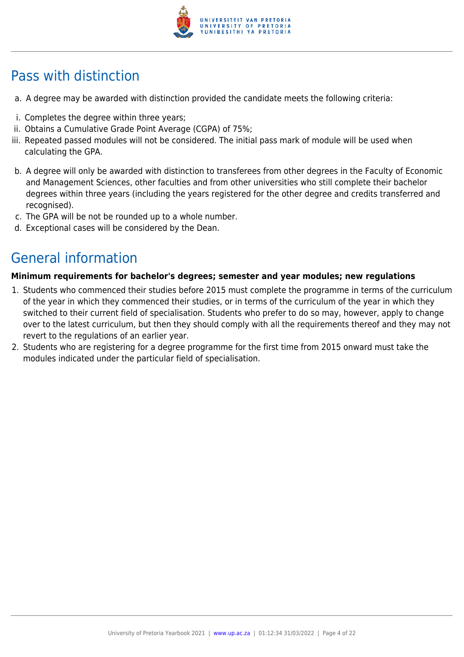

## Pass with distinction

- a. A degree may be awarded with distinction provided the candidate meets the following criteria:
- i. Completes the degree within three years;
- ii. Obtains a Cumulative Grade Point Average (CGPA) of 75%;
- iii. Repeated passed modules will not be considered. The initial pass mark of module will be used when calculating the GPA.
- b. A degree will only be awarded with distinction to transferees from other degrees in the Faculty of Economic and Management Sciences, other faculties and from other universities who still complete their bachelor degrees within three years (including the years registered for the other degree and credits transferred and recognised).
- c. The GPA will be not be rounded up to a whole number.
- d. Exceptional cases will be considered by the Dean.

## General information

## **Minimum requirements for bachelor's degrees; semester and year modules; new regulations**

- 1. Students who commenced their studies before 2015 must complete the programme in terms of the curriculum of the year in which they commenced their studies, or in terms of the curriculum of the year in which they switched to their current field of specialisation. Students who prefer to do so may, however, apply to change over to the latest curriculum, but then they should comply with all the requirements thereof and they may not revert to the regulations of an earlier year.
- 2. Students who are registering for a degree programme for the first time from 2015 onward must take the modules indicated under the particular field of specialisation.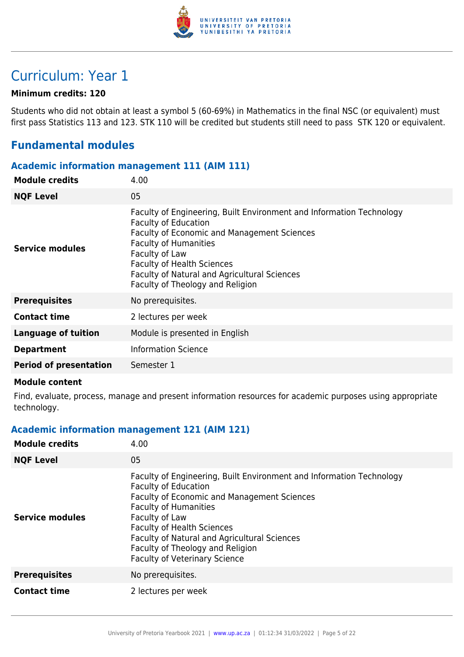

## Curriculum: Year 1

### **Minimum credits: 120**

Students who did not obtain at least a symbol 5 (60-69%) in Mathematics in the final NSC (or equivalent) must first pass Statistics 113 and 123. STK 110 will be credited but students still need to pass STK 120 or equivalent.

## **Fundamental modules**

### **Academic information management 111 (AIM 111)**

| <b>Module credits</b>         | 4.00                                                                                                                                                                                                                                                                                                                          |
|-------------------------------|-------------------------------------------------------------------------------------------------------------------------------------------------------------------------------------------------------------------------------------------------------------------------------------------------------------------------------|
| <b>NQF Level</b>              | 05                                                                                                                                                                                                                                                                                                                            |
| Service modules               | Faculty of Engineering, Built Environment and Information Technology<br><b>Faculty of Education</b><br>Faculty of Economic and Management Sciences<br><b>Faculty of Humanities</b><br>Faculty of Law<br><b>Faculty of Health Sciences</b><br>Faculty of Natural and Agricultural Sciences<br>Faculty of Theology and Religion |
| <b>Prerequisites</b>          | No prerequisites.                                                                                                                                                                                                                                                                                                             |
| <b>Contact time</b>           | 2 lectures per week                                                                                                                                                                                                                                                                                                           |
| <b>Language of tuition</b>    | Module is presented in English                                                                                                                                                                                                                                                                                                |
| <b>Department</b>             | <b>Information Science</b>                                                                                                                                                                                                                                                                                                    |
| <b>Period of presentation</b> | Semester 1                                                                                                                                                                                                                                                                                                                    |
|                               |                                                                                                                                                                                                                                                                                                                               |

#### **Module content**

Find, evaluate, process, manage and present information resources for academic purposes using appropriate technology.

## **Academic information management 121 (AIM 121)**

| <b>Module credits</b>  | 4.00                                                                                                                                                                                                                                                                                                                                                                         |
|------------------------|------------------------------------------------------------------------------------------------------------------------------------------------------------------------------------------------------------------------------------------------------------------------------------------------------------------------------------------------------------------------------|
| <b>NQF Level</b>       | 05                                                                                                                                                                                                                                                                                                                                                                           |
| <b>Service modules</b> | Faculty of Engineering, Built Environment and Information Technology<br><b>Faculty of Education</b><br><b>Faculty of Economic and Management Sciences</b><br><b>Faculty of Humanities</b><br>Faculty of Law<br><b>Faculty of Health Sciences</b><br>Faculty of Natural and Agricultural Sciences<br>Faculty of Theology and Religion<br><b>Faculty of Veterinary Science</b> |
| <b>Prerequisites</b>   | No prerequisites.                                                                                                                                                                                                                                                                                                                                                            |
| <b>Contact time</b>    | 2 lectures per week                                                                                                                                                                                                                                                                                                                                                          |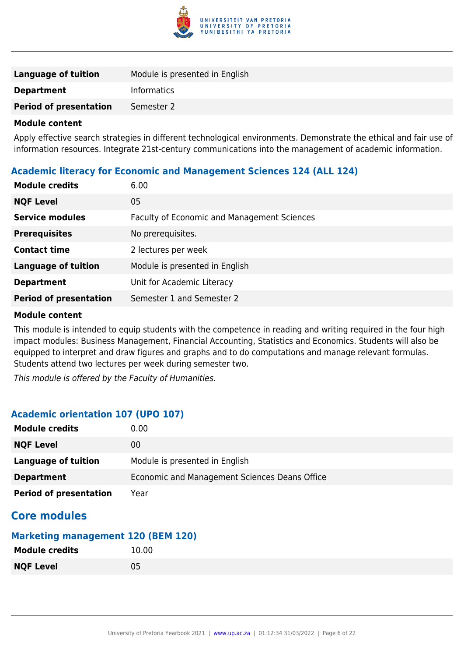

| Language of tuition           | Module is presented in English |
|-------------------------------|--------------------------------|
| <b>Department</b>             | <b>Informatics</b>             |
| <b>Period of presentation</b> | Semester 2                     |

Apply effective search strategies in different technological environments. Demonstrate the ethical and fair use of information resources. Integrate 21st-century communications into the management of academic information.

## **Academic literacy for Economic and Management Sciences 124 (ALL 124)**

| <b>Module credits</b>         | 6.00                                               |
|-------------------------------|----------------------------------------------------|
| <b>NQF Level</b>              | 05                                                 |
| <b>Service modules</b>        | <b>Faculty of Economic and Management Sciences</b> |
| <b>Prerequisites</b>          | No prerequisites.                                  |
| <b>Contact time</b>           | 2 lectures per week                                |
| <b>Language of tuition</b>    | Module is presented in English                     |
| <b>Department</b>             | Unit for Academic Literacy                         |
| <b>Period of presentation</b> | Semester 1 and Semester 2                          |

### **Module content**

This module is intended to equip students with the competence in reading and writing required in the four high impact modules: Business Management, Financial Accounting, Statistics and Economics. Students will also be equipped to interpret and draw figures and graphs and to do computations and manage relevant formulas. Students attend two lectures per week during semester two.

This module is offered by the Faculty of Humanities.

## **Academic orientation 107 (UPO 107)**

| <b>Module credits</b>         | 0.00                                          |
|-------------------------------|-----------------------------------------------|
| <b>NQF Level</b>              | 00                                            |
| Language of tuition           | Module is presented in English                |
| <b>Department</b>             | Economic and Management Sciences Deans Office |
| <b>Period of presentation</b> | Year                                          |

## **Core modules**

## **Marketing management 120 (BEM 120)**

| <b>Module credits</b> | 10.00 |
|-----------------------|-------|
| <b>NQF Level</b>      | 05    |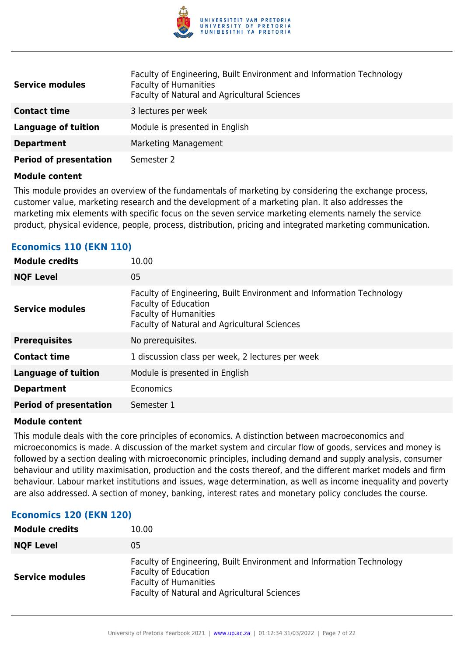

| <b>Service modules</b>        | Faculty of Engineering, Built Environment and Information Technology<br><b>Faculty of Humanities</b><br>Faculty of Natural and Agricultural Sciences |
|-------------------------------|------------------------------------------------------------------------------------------------------------------------------------------------------|
| <b>Contact time</b>           | 3 lectures per week                                                                                                                                  |
| Language of tuition           | Module is presented in English                                                                                                                       |
| <b>Department</b>             | Marketing Management                                                                                                                                 |
| <b>Period of presentation</b> | Semester 2                                                                                                                                           |

This module provides an overview of the fundamentals of marketing by considering the exchange process, customer value, marketing research and the development of a marketing plan. It also addresses the marketing mix elements with specific focus on the seven service marketing elements namely the service product, physical evidence, people, process, distribution, pricing and integrated marketing communication.

## **Economics 110 (EKN 110)**

| <b>Module credits</b>         | 10.00                                                                                                                                                                               |
|-------------------------------|-------------------------------------------------------------------------------------------------------------------------------------------------------------------------------------|
| <b>NQF Level</b>              | 05                                                                                                                                                                                  |
| <b>Service modules</b>        | Faculty of Engineering, Built Environment and Information Technology<br><b>Faculty of Education</b><br><b>Faculty of Humanities</b><br>Faculty of Natural and Agricultural Sciences |
| <b>Prerequisites</b>          | No prerequisites.                                                                                                                                                                   |
| <b>Contact time</b>           | 1 discussion class per week, 2 lectures per week                                                                                                                                    |
| <b>Language of tuition</b>    | Module is presented in English                                                                                                                                                      |
| <b>Department</b>             | Economics                                                                                                                                                                           |
| <b>Period of presentation</b> | Semester 1                                                                                                                                                                          |

#### **Module content**

This module deals with the core principles of economics. A distinction between macroeconomics and microeconomics is made. A discussion of the market system and circular flow of goods, services and money is followed by a section dealing with microeconomic principles, including demand and supply analysis, consumer behaviour and utility maximisation, production and the costs thereof, and the different market models and firm behaviour. Labour market institutions and issues, wage determination, as well as income inequality and poverty are also addressed. A section of money, banking, interest rates and monetary policy concludes the course.

## **Economics 120 (EKN 120)**

| <b>Module credits</b>  | 10.00                                                                                                                                                                                      |
|------------------------|--------------------------------------------------------------------------------------------------------------------------------------------------------------------------------------------|
| <b>NQF Level</b>       | 05                                                                                                                                                                                         |
| <b>Service modules</b> | Faculty of Engineering, Built Environment and Information Technology<br><b>Faculty of Education</b><br><b>Faculty of Humanities</b><br><b>Faculty of Natural and Agricultural Sciences</b> |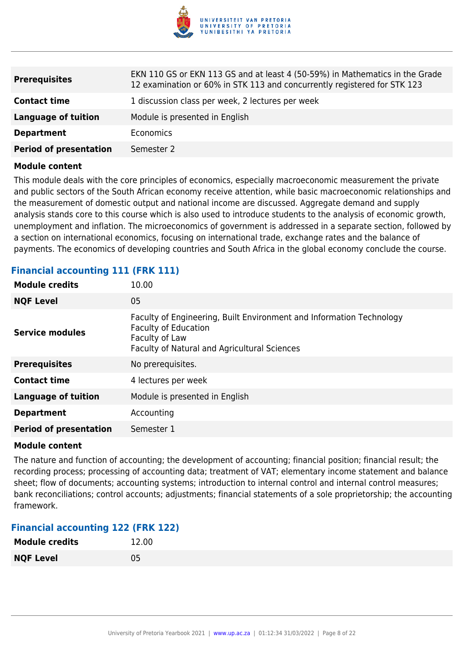

| <b>Prerequisites</b>          | EKN 110 GS or EKN 113 GS and at least 4 (50-59%) in Mathematics in the Grade<br>12 examination or 60% in STK 113 and concurrently registered for STK 123 |
|-------------------------------|----------------------------------------------------------------------------------------------------------------------------------------------------------|
| <b>Contact time</b>           | 1 discussion class per week, 2 lectures per week                                                                                                         |
| Language of tuition           | Module is presented in English                                                                                                                           |
| <b>Department</b>             | <b>Economics</b>                                                                                                                                         |
| <b>Period of presentation</b> | Semester 2                                                                                                                                               |

This module deals with the core principles of economics, especially macroeconomic measurement the private and public sectors of the South African economy receive attention, while basic macroeconomic relationships and the measurement of domestic output and national income are discussed. Aggregate demand and supply analysis stands core to this course which is also used to introduce students to the analysis of economic growth, unemployment and inflation. The microeconomics of government is addressed in a separate section, followed by a section on international economics, focusing on international trade, exchange rates and the balance of payments. The economics of developing countries and South Africa in the global economy conclude the course.

| <b>Module credits</b>         | 10.00                                                                                                                                                                 |
|-------------------------------|-----------------------------------------------------------------------------------------------------------------------------------------------------------------------|
| <b>NQF Level</b>              | 05                                                                                                                                                                    |
| <b>Service modules</b>        | Faculty of Engineering, Built Environment and Information Technology<br><b>Faculty of Education</b><br>Faculty of Law<br>Faculty of Natural and Agricultural Sciences |
| <b>Prerequisites</b>          | No prerequisites.                                                                                                                                                     |
| <b>Contact time</b>           | 4 lectures per week                                                                                                                                                   |
| <b>Language of tuition</b>    | Module is presented in English                                                                                                                                        |
| <b>Department</b>             | Accounting                                                                                                                                                            |
| <b>Period of presentation</b> | Semester 1                                                                                                                                                            |

## **Financial accounting 111 (FRK 111)**

#### **Module content**

The nature and function of accounting; the development of accounting; financial position; financial result; the recording process; processing of accounting data; treatment of VAT; elementary income statement and balance sheet; flow of documents; accounting systems; introduction to internal control and internal control measures; bank reconciliations; control accounts; adjustments; financial statements of a sole proprietorship; the accounting framework.

## **Financial accounting 122 (FRK 122)**

| <b>Module credits</b> | 12.00 |
|-----------------------|-------|
| <b>NQF Level</b>      | 05    |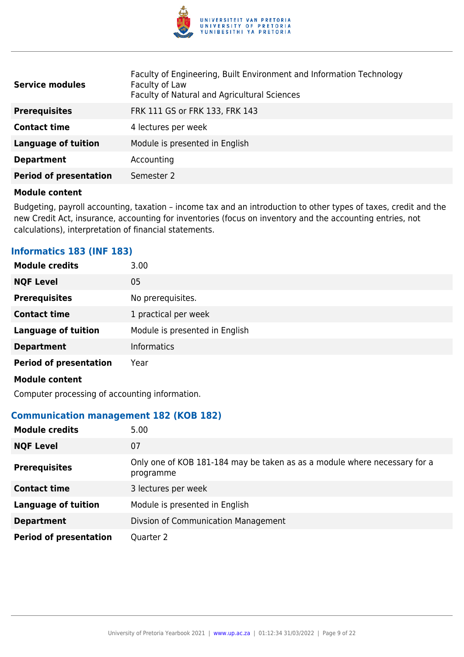

| <b>Service modules</b>        | Faculty of Engineering, Built Environment and Information Technology<br>Faculty of Law<br>Faculty of Natural and Agricultural Sciences |
|-------------------------------|----------------------------------------------------------------------------------------------------------------------------------------|
| <b>Prerequisites</b>          | FRK 111 GS or FRK 133, FRK 143                                                                                                         |
| <b>Contact time</b>           | 4 lectures per week                                                                                                                    |
| <b>Language of tuition</b>    | Module is presented in English                                                                                                         |
| <b>Department</b>             | Accounting                                                                                                                             |
| <b>Period of presentation</b> | Semester 2                                                                                                                             |

Budgeting, payroll accounting, taxation – income tax and an introduction to other types of taxes, credit and the new Credit Act, insurance, accounting for inventories (focus on inventory and the accounting entries, not calculations), interpretation of financial statements.

| Informatics 183 (INF 183) |  |  |
|---------------------------|--|--|
|                           |  |  |

| <b>Module credits</b>         | 3.00                           |
|-------------------------------|--------------------------------|
| <b>NQF Level</b>              | 05                             |
| <b>Prerequisites</b>          | No prerequisites.              |
| <b>Contact time</b>           | 1 practical per week           |
| <b>Language of tuition</b>    | Module is presented in English |
| <b>Department</b>             | <b>Informatics</b>             |
| <b>Period of presentation</b> | Year                           |
| <b>Module content</b>         |                                |

Computer processing of accounting information.

## **Communication management 182 (KOB 182)**

| <b>Module credits</b>         | 5.00                                                                                   |
|-------------------------------|----------------------------------------------------------------------------------------|
| <b>NQF Level</b>              | 07                                                                                     |
| <b>Prerequisites</b>          | Only one of KOB 181-184 may be taken as as a module where necessary for a<br>programme |
| <b>Contact time</b>           | 3 lectures per week                                                                    |
| <b>Language of tuition</b>    | Module is presented in English                                                         |
| <b>Department</b>             | Divsion of Communication Management                                                    |
| <b>Period of presentation</b> | Quarter 2                                                                              |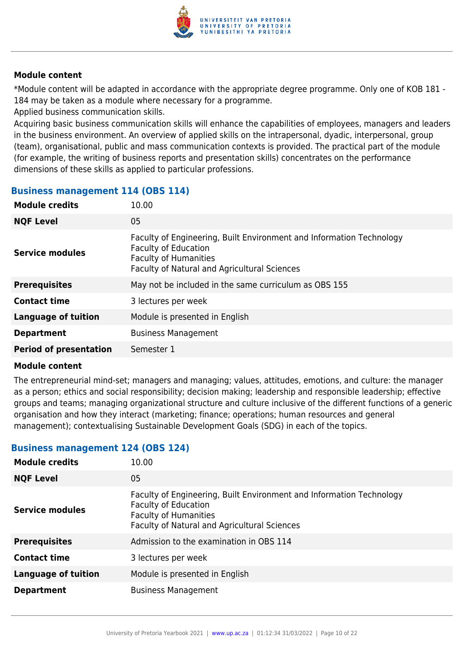

\*Module content will be adapted in accordance with the appropriate degree programme. Only one of KOB 181 - 184 may be taken as a module where necessary for a programme.

Applied business communication skills.

Acquiring basic business communication skills will enhance the capabilities of employees, managers and leaders in the business environment. An overview of applied skills on the intrapersonal, dyadic, interpersonal, group (team), organisational, public and mass communication contexts is provided. The practical part of the module (for example, the writing of business reports and presentation skills) concentrates on the performance dimensions of these skills as applied to particular professions.

## **Business management 114 (OBS 114)**

| <b>Module credits</b>         | 10.00                                                                                                                                                                               |
|-------------------------------|-------------------------------------------------------------------------------------------------------------------------------------------------------------------------------------|
| <b>NQF Level</b>              | 05                                                                                                                                                                                  |
| <b>Service modules</b>        | Faculty of Engineering, Built Environment and Information Technology<br><b>Faculty of Education</b><br><b>Faculty of Humanities</b><br>Faculty of Natural and Agricultural Sciences |
| <b>Prerequisites</b>          | May not be included in the same curriculum as OBS 155                                                                                                                               |
| <b>Contact time</b>           | 3 lectures per week                                                                                                                                                                 |
| <b>Language of tuition</b>    | Module is presented in English                                                                                                                                                      |
| <b>Department</b>             | <b>Business Management</b>                                                                                                                                                          |
| <b>Period of presentation</b> | Semester 1                                                                                                                                                                          |

#### **Module content**

The entrepreneurial mind-set; managers and managing; values, attitudes, emotions, and culture: the manager as a person; ethics and social responsibility; decision making; leadership and responsible leadership; effective groups and teams; managing organizational structure and culture inclusive of the different functions of a generic organisation and how they interact (marketing; finance; operations; human resources and general management); contextualising Sustainable Development Goals (SDG) in each of the topics.

## **Business management 124 (OBS 124)**

| <b>Module credits</b>      | 10.00                                                                                                                                                                               |
|----------------------------|-------------------------------------------------------------------------------------------------------------------------------------------------------------------------------------|
| <b>NQF Level</b>           | 05                                                                                                                                                                                  |
| <b>Service modules</b>     | Faculty of Engineering, Built Environment and Information Technology<br><b>Faculty of Education</b><br><b>Faculty of Humanities</b><br>Faculty of Natural and Agricultural Sciences |
| <b>Prerequisites</b>       | Admission to the examination in OBS 114                                                                                                                                             |
| <b>Contact time</b>        | 3 lectures per week                                                                                                                                                                 |
| <b>Language of tuition</b> | Module is presented in English                                                                                                                                                      |
| <b>Department</b>          | <b>Business Management</b>                                                                                                                                                          |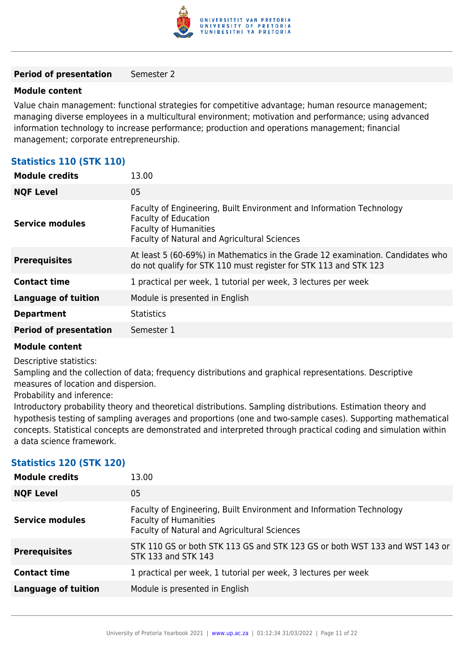

#### **Period of presentation** Semester 2

#### **Module content**

Value chain management: functional strategies for competitive advantage; human resource management; managing diverse employees in a multicultural environment; motivation and performance; using advanced information technology to increase performance; production and operations management; financial management; corporate entrepreneurship.

## **Statistics 110 (STK 110)**

| <b>Module credits</b>         | 13.00                                                                                                                                                                                      |
|-------------------------------|--------------------------------------------------------------------------------------------------------------------------------------------------------------------------------------------|
| <b>NQF Level</b>              | 05                                                                                                                                                                                         |
| <b>Service modules</b>        | Faculty of Engineering, Built Environment and Information Technology<br><b>Faculty of Education</b><br><b>Faculty of Humanities</b><br><b>Faculty of Natural and Agricultural Sciences</b> |
| <b>Prerequisites</b>          | At least 5 (60-69%) in Mathematics in the Grade 12 examination. Candidates who<br>do not qualify for STK 110 must register for STK 113 and STK 123                                         |
| <b>Contact time</b>           | 1 practical per week, 1 tutorial per week, 3 lectures per week                                                                                                                             |
| <b>Language of tuition</b>    | Module is presented in English                                                                                                                                                             |
| <b>Department</b>             | <b>Statistics</b>                                                                                                                                                                          |
| <b>Period of presentation</b> | Semester 1                                                                                                                                                                                 |

#### **Module content**

Descriptive statistics:

Sampling and the collection of data; frequency distributions and graphical representations. Descriptive measures of location and dispersion.

Probability and inference:

Introductory probability theory and theoretical distributions. Sampling distributions. Estimation theory and hypothesis testing of sampling averages and proportions (one and two-sample cases). Supporting mathematical concepts. Statistical concepts are demonstrated and interpreted through practical coding and simulation within a data science framework.

## **Statistics 120 (STK 120)**

| <b>Module credits</b>      | 13.00                                                                                                                                                |
|----------------------------|------------------------------------------------------------------------------------------------------------------------------------------------------|
| <b>NQF Level</b>           | 05                                                                                                                                                   |
| <b>Service modules</b>     | Faculty of Engineering, Built Environment and Information Technology<br><b>Faculty of Humanities</b><br>Faculty of Natural and Agricultural Sciences |
| <b>Prerequisites</b>       | STK 110 GS or both STK 113 GS and STK 123 GS or both WST 133 and WST 143 or<br>STK 133 and STK 143                                                   |
| <b>Contact time</b>        | 1 practical per week, 1 tutorial per week, 3 lectures per week                                                                                       |
| <b>Language of tuition</b> | Module is presented in English                                                                                                                       |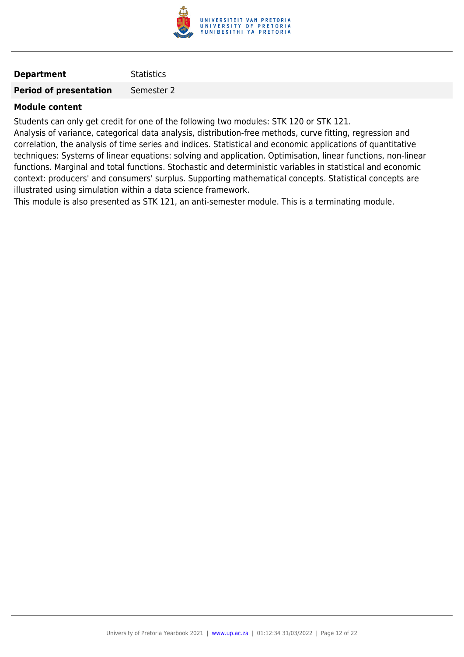

## **Department** Statistics

**Period of presentation** Semester 2

### **Module content**

Students can only get credit for one of the following two modules: STK 120 or STK 121.

Analysis of variance, categorical data analysis, distribution-free methods, curve fitting, regression and correlation, the analysis of time series and indices. Statistical and economic applications of quantitative techniques: Systems of linear equations: solving and application. Optimisation, linear functions, non-linear functions. Marginal and total functions. Stochastic and deterministic variables in statistical and economic context: producers' and consumers' surplus. Supporting mathematical concepts. Statistical concepts are illustrated using simulation within a data science framework.

This module is also presented as STK 121, an anti-semester module. This is a terminating module.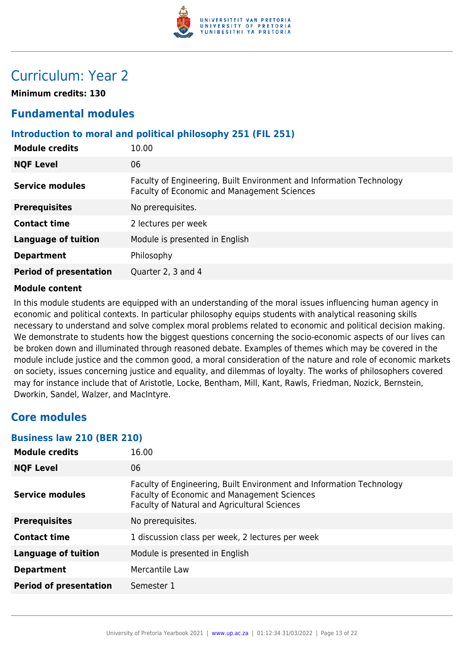

## Curriculum: Year 2

**Minimum credits: 130**

## **Fundamental modules**

## **Introduction to moral and political philosophy 251 (FIL 251)**

| <b>Module credits</b>         | 10.00                                                                                                               |
|-------------------------------|---------------------------------------------------------------------------------------------------------------------|
| <b>NQF Level</b>              | 06                                                                                                                  |
| <b>Service modules</b>        | Faculty of Engineering, Built Environment and Information Technology<br>Faculty of Economic and Management Sciences |
| <b>Prerequisites</b>          | No prerequisites.                                                                                                   |
| <b>Contact time</b>           | 2 lectures per week                                                                                                 |
| <b>Language of tuition</b>    | Module is presented in English                                                                                      |
| <b>Department</b>             | Philosophy                                                                                                          |
| <b>Period of presentation</b> | Quarter 2, 3 and 4                                                                                                  |

### **Module content**

In this module students are equipped with an understanding of the moral issues influencing human agency in economic and political contexts. In particular philosophy equips students with analytical reasoning skills necessary to understand and solve complex moral problems related to economic and political decision making. We demonstrate to students how the biggest questions concerning the socio-economic aspects of our lives can be broken down and illuminated through reasoned debate. Examples of themes which may be covered in the module include justice and the common good, a moral consideration of the nature and role of economic markets on society, issues concerning justice and equality, and dilemmas of loyalty. The works of philosophers covered may for instance include that of Aristotle, Locke, Bentham, Mill, Kant, Rawls, Friedman, Nozick, Bernstein, Dworkin, Sandel, Walzer, and MacIntyre.

## **Core modules**

## **Business law 210 (BER 210)**

| <b>Module credits</b>         | 16.00                                                                                                                                                                      |
|-------------------------------|----------------------------------------------------------------------------------------------------------------------------------------------------------------------------|
| <b>NQF Level</b>              | 06                                                                                                                                                                         |
| Service modules               | Faculty of Engineering, Built Environment and Information Technology<br><b>Faculty of Economic and Management Sciences</b><br>Faculty of Natural and Agricultural Sciences |
| <b>Prerequisites</b>          | No prerequisites.                                                                                                                                                          |
| <b>Contact time</b>           | 1 discussion class per week, 2 lectures per week                                                                                                                           |
| Language of tuition           | Module is presented in English                                                                                                                                             |
| <b>Department</b>             | Mercantile Law                                                                                                                                                             |
| <b>Period of presentation</b> | Semester 1                                                                                                                                                                 |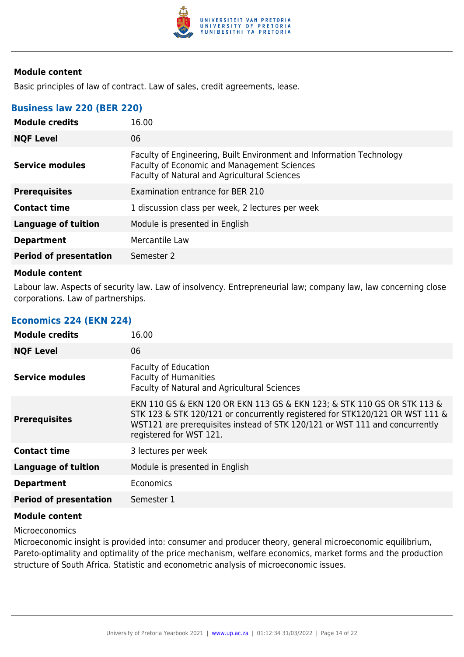

Basic principles of law of contract. Law of sales, credit agreements, lease.

## **Business law 220 (BER 220)**

| <b>Module credits</b>         | 16.00                                                                                                                                                               |
|-------------------------------|---------------------------------------------------------------------------------------------------------------------------------------------------------------------|
| <b>NQF Level</b>              | 06                                                                                                                                                                  |
| Service modules               | Faculty of Engineering, Built Environment and Information Technology<br>Faculty of Economic and Management Sciences<br>Faculty of Natural and Agricultural Sciences |
| <b>Prerequisites</b>          | Examination entrance for BER 210                                                                                                                                    |
| <b>Contact time</b>           | 1 discussion class per week, 2 lectures per week                                                                                                                    |
| <b>Language of tuition</b>    | Module is presented in English                                                                                                                                      |
| <b>Department</b>             | Mercantile Law                                                                                                                                                      |
| <b>Period of presentation</b> | Semester 2                                                                                                                                                          |

#### **Module content**

Labour law. Aspects of security law. Law of insolvency. Entrepreneurial law; company law, law concerning close corporations. Law of partnerships.

| <b>Module credits</b>         | 16.00                                                                                                                                                                                                                                                             |
|-------------------------------|-------------------------------------------------------------------------------------------------------------------------------------------------------------------------------------------------------------------------------------------------------------------|
| <b>NQF Level</b>              | 06                                                                                                                                                                                                                                                                |
| <b>Service modules</b>        | <b>Faculty of Education</b><br><b>Faculty of Humanities</b><br>Faculty of Natural and Agricultural Sciences                                                                                                                                                       |
| <b>Prerequisites</b>          | EKN 110 GS & EKN 120 OR EKN 113 GS & EKN 123; & STK 110 GS OR STK 113 &<br>STK 123 & STK 120/121 or concurrently registered for STK120/121 OR WST 111 &<br>WST121 are prerequisites instead of STK 120/121 or WST 111 and concurrently<br>registered for WST 121. |
| <b>Contact time</b>           | 3 lectures per week                                                                                                                                                                                                                                               |
| <b>Language of tuition</b>    | Module is presented in English                                                                                                                                                                                                                                    |
| <b>Department</b>             | Economics                                                                                                                                                                                                                                                         |
| <b>Period of presentation</b> | Semester 1                                                                                                                                                                                                                                                        |
|                               |                                                                                                                                                                                                                                                                   |

## **Economics 224 (EKN 224)**

#### **Module content**

Microeconomics

Microeconomic insight is provided into: consumer and producer theory, general microeconomic equilibrium, Pareto-optimality and optimality of the price mechanism, welfare economics, market forms and the production structure of South Africa. Statistic and econometric analysis of microeconomic issues.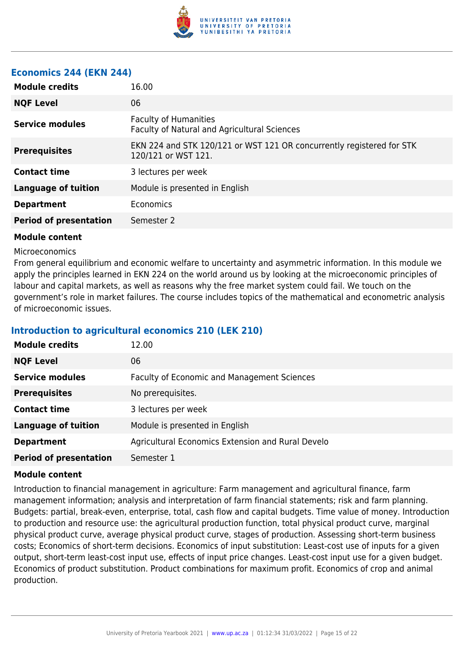

### **Economics 244 (EKN 244)**

| <b>Module credits</b>         | 16.00                                                                                        |
|-------------------------------|----------------------------------------------------------------------------------------------|
| <b>NQF Level</b>              | 06                                                                                           |
| <b>Service modules</b>        | <b>Faculty of Humanities</b><br>Faculty of Natural and Agricultural Sciences                 |
| <b>Prerequisites</b>          | EKN 224 and STK 120/121 or WST 121 OR concurrently registered for STK<br>120/121 or WST 121. |
| <b>Contact time</b>           | 3 lectures per week                                                                          |
| <b>Language of tuition</b>    | Module is presented in English                                                               |
| <b>Department</b>             | Economics                                                                                    |
| <b>Period of presentation</b> | Semester 2                                                                                   |

#### **Module content**

#### Microeconomics

From general equilibrium and economic welfare to uncertainty and asymmetric information. In this module we apply the principles learned in EKN 224 on the world around us by looking at the microeconomic principles of labour and capital markets, as well as reasons why the free market system could fail. We touch on the government's role in market failures. The course includes topics of the mathematical and econometric analysis of microeconomic issues.

## **Introduction to agricultural economics 210 (LEK 210)**

| <b>Module credits</b>         | 12.00                                             |
|-------------------------------|---------------------------------------------------|
| <b>NQF Level</b>              | 06                                                |
| <b>Service modules</b>        | Faculty of Economic and Management Sciences       |
| <b>Prerequisites</b>          | No prerequisites.                                 |
| <b>Contact time</b>           | 3 lectures per week                               |
| <b>Language of tuition</b>    | Module is presented in English                    |
| <b>Department</b>             | Agricultural Economics Extension and Rural Develo |
| <b>Period of presentation</b> | Semester 1                                        |

#### **Module content**

Introduction to financial management in agriculture: Farm management and agricultural finance, farm management information; analysis and interpretation of farm financial statements; risk and farm planning. Budgets: partial, break-even, enterprise, total, cash flow and capital budgets. Time value of money. Introduction to production and resource use: the agricultural production function, total physical product curve, marginal physical product curve, average physical product curve, stages of production. Assessing short-term business costs; Economics of short-term decisions. Economics of input substitution: Least-cost use of inputs for a given output, short-term least-cost input use, effects of input price changes. Least-cost input use for a given budget. Economics of product substitution. Product combinations for maximum profit. Economics of crop and animal production.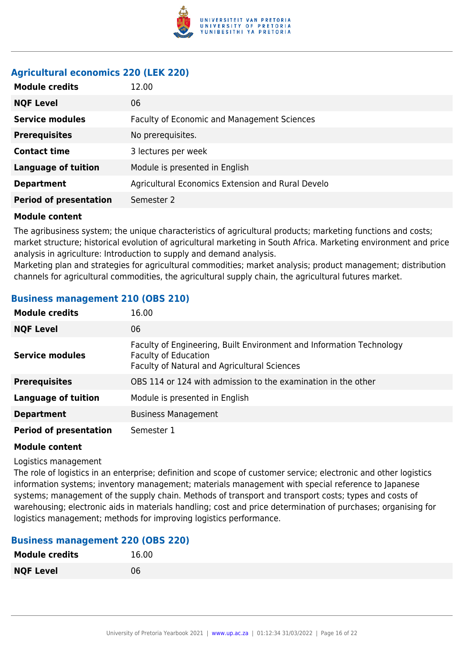

## **Agricultural economics 220 (LEK 220)**

| <b>Module credits</b>         | 12.00                                              |
|-------------------------------|----------------------------------------------------|
| <b>NQF Level</b>              | 06                                                 |
| <b>Service modules</b>        | <b>Faculty of Economic and Management Sciences</b> |
| <b>Prerequisites</b>          | No prerequisites.                                  |
| <b>Contact time</b>           | 3 lectures per week                                |
| <b>Language of tuition</b>    | Module is presented in English                     |
| <b>Department</b>             | Agricultural Economics Extension and Rural Develo  |
| <b>Period of presentation</b> | Semester 2                                         |

### **Module content**

The agribusiness system; the unique characteristics of agricultural products; marketing functions and costs; market structure; historical evolution of agricultural marketing in South Africa. Marketing environment and price analysis in agriculture: Introduction to supply and demand analysis.

Marketing plan and strategies for agricultural commodities; market analysis; product management; distribution channels for agricultural commodities, the agricultural supply chain, the agricultural futures market.

## **Business management 210 (OBS 210)**

| <b>Module credits</b>         | 16.00                                                                                                                                               |
|-------------------------------|-----------------------------------------------------------------------------------------------------------------------------------------------------|
| <b>NQF Level</b>              | 06                                                                                                                                                  |
| <b>Service modules</b>        | Faculty of Engineering, Built Environment and Information Technology<br><b>Faculty of Education</b><br>Faculty of Natural and Agricultural Sciences |
| <b>Prerequisites</b>          | OBS 114 or 124 with admission to the examination in the other                                                                                       |
| <b>Language of tuition</b>    | Module is presented in English                                                                                                                      |
| <b>Department</b>             | <b>Business Management</b>                                                                                                                          |
| <b>Period of presentation</b> | Semester 1                                                                                                                                          |

#### **Module content**

#### Logistics management

The role of logistics in an enterprise; definition and scope of customer service; electronic and other logistics information systems; inventory management; materials management with special reference to Japanese systems; management of the supply chain. Methods of transport and transport costs; types and costs of warehousing; electronic aids in materials handling; cost and price determination of purchases; organising for logistics management; methods for improving logistics performance.

## **Business management 220 (OBS 220)**

| <b>Module credits</b> | 16.00 |
|-----------------------|-------|
| <b>NQF Level</b>      | 06    |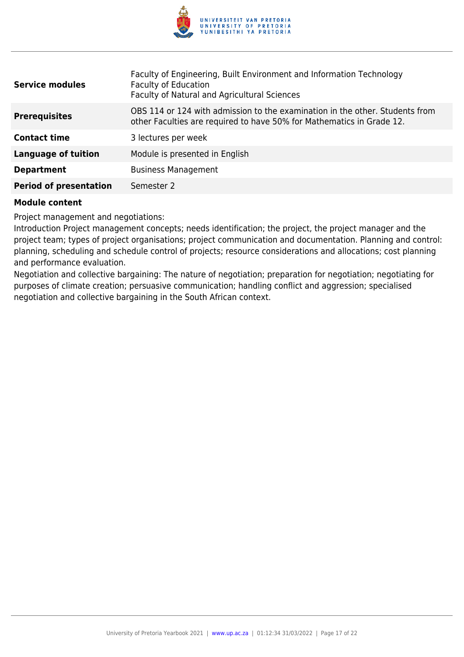

| <b>Service modules</b>        | Faculty of Engineering, Built Environment and Information Technology<br><b>Faculty of Education</b><br>Faculty of Natural and Agricultural Sciences   |
|-------------------------------|-------------------------------------------------------------------------------------------------------------------------------------------------------|
| <b>Prerequisites</b>          | OBS 114 or 124 with admission to the examination in the other. Students from<br>other Faculties are required to have 50% for Mathematics in Grade 12. |
| <b>Contact time</b>           | 3 lectures per week                                                                                                                                   |
| <b>Language of tuition</b>    | Module is presented in English                                                                                                                        |
| <b>Department</b>             | <b>Business Management</b>                                                                                                                            |
| <b>Period of presentation</b> | Semester 2                                                                                                                                            |

Project management and negotiations:

Introduction Project management concepts; needs identification; the project, the project manager and the project team; types of project organisations; project communication and documentation. Planning and control: planning, scheduling and schedule control of projects; resource considerations and allocations; cost planning and performance evaluation.

Negotiation and collective bargaining: The nature of negotiation; preparation for negotiation; negotiating for purposes of climate creation; persuasive communication; handling conflict and aggression; specialised negotiation and collective bargaining in the South African context.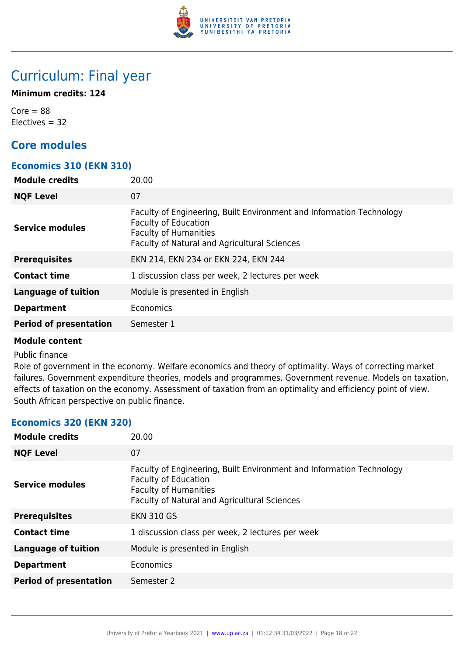

## Curriculum: Final year

## **Minimum credits: 124**

 $Core = 88$ Electives = 32

## **Core modules**

## **Economics 310 (EKN 310)**

| <b>Module credits</b>         | 20.00                                                                                                                                                                                      |
|-------------------------------|--------------------------------------------------------------------------------------------------------------------------------------------------------------------------------------------|
| <b>NQF Level</b>              | 07                                                                                                                                                                                         |
| <b>Service modules</b>        | Faculty of Engineering, Built Environment and Information Technology<br><b>Faculty of Education</b><br><b>Faculty of Humanities</b><br><b>Faculty of Natural and Agricultural Sciences</b> |
| <b>Prerequisites</b>          | EKN 214, EKN 234 or EKN 224, EKN 244                                                                                                                                                       |
| <b>Contact time</b>           | 1 discussion class per week, 2 lectures per week                                                                                                                                           |
| <b>Language of tuition</b>    | Module is presented in English                                                                                                                                                             |
| <b>Department</b>             | Economics                                                                                                                                                                                  |
| <b>Period of presentation</b> | Semester 1                                                                                                                                                                                 |

## **Module content**

#### Public finance

Role of government in the economy. Welfare economics and theory of optimality. Ways of correcting market failures. Government expenditure theories, models and programmes. Government revenue. Models on taxation, effects of taxation on the economy. Assessment of taxation from an optimality and efficiency point of view. South African perspective on public finance.

## **Economics 320 (EKN 320)**

| <b>Module credits</b>         | 20.00                                                                                                                                                                               |
|-------------------------------|-------------------------------------------------------------------------------------------------------------------------------------------------------------------------------------|
| <b>NQF Level</b>              | 07                                                                                                                                                                                  |
| <b>Service modules</b>        | Faculty of Engineering, Built Environment and Information Technology<br><b>Faculty of Education</b><br><b>Faculty of Humanities</b><br>Faculty of Natural and Agricultural Sciences |
| <b>Prerequisites</b>          | <b>EKN 310 GS</b>                                                                                                                                                                   |
| <b>Contact time</b>           | 1 discussion class per week, 2 lectures per week                                                                                                                                    |
| <b>Language of tuition</b>    | Module is presented in English                                                                                                                                                      |
| <b>Department</b>             | Economics                                                                                                                                                                           |
| <b>Period of presentation</b> | Semester 2                                                                                                                                                                          |
|                               |                                                                                                                                                                                     |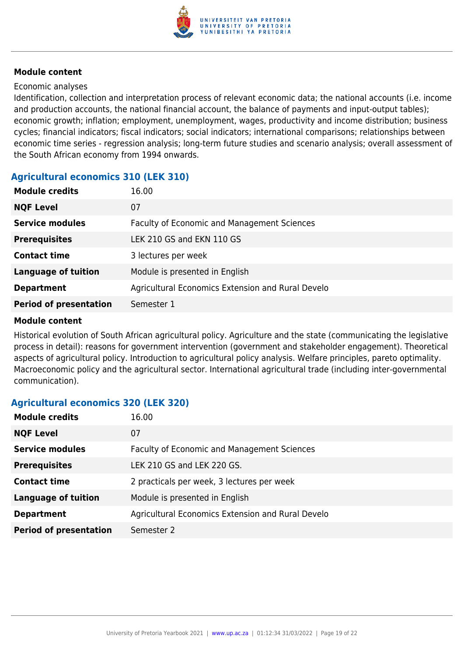

#### Economic analyses

Identification, collection and interpretation process of relevant economic data; the national accounts (i.e. income and production accounts, the national financial account, the balance of payments and input-output tables); economic growth; inflation; employment, unemployment, wages, productivity and income distribution; business cycles; financial indicators; fiscal indicators; social indicators; international comparisons; relationships between economic time series - regression analysis; long-term future studies and scenario analysis; overall assessment of the South African economy from 1994 onwards.

## **Agricultural economics 310 (LEK 310)**

| <b>Module credits</b>         | 16.00                                              |
|-------------------------------|----------------------------------------------------|
| <b>NQF Level</b>              | 07                                                 |
| <b>Service modules</b>        | <b>Faculty of Economic and Management Sciences</b> |
| <b>Prerequisites</b>          | LEK 210 GS and EKN 110 GS                          |
| <b>Contact time</b>           | 3 lectures per week                                |
| <b>Language of tuition</b>    | Module is presented in English                     |
| <b>Department</b>             | Agricultural Economics Extension and Rural Develo  |
| <b>Period of presentation</b> | Semester 1                                         |

#### **Module content**

Historical evolution of South African agricultural policy. Agriculture and the state (communicating the legislative process in detail): reasons for government intervention (government and stakeholder engagement). Theoretical aspects of agricultural policy. Introduction to agricultural policy analysis. Welfare principles, pareto optimality. Macroeconomic policy and the agricultural sector. International agricultural trade (including inter-governmental communication).

## **Agricultural economics 320 (LEK 320)**

| <b>Module credits</b>         | 16.00                                              |
|-------------------------------|----------------------------------------------------|
| <b>NQF Level</b>              | 07                                                 |
| <b>Service modules</b>        | <b>Faculty of Economic and Management Sciences</b> |
| <b>Prerequisites</b>          | LEK 210 GS and LEK 220 GS.                         |
| <b>Contact time</b>           | 2 practicals per week, 3 lectures per week         |
| <b>Language of tuition</b>    | Module is presented in English                     |
| <b>Department</b>             | Agricultural Economics Extension and Rural Develo  |
| <b>Period of presentation</b> | Semester 2                                         |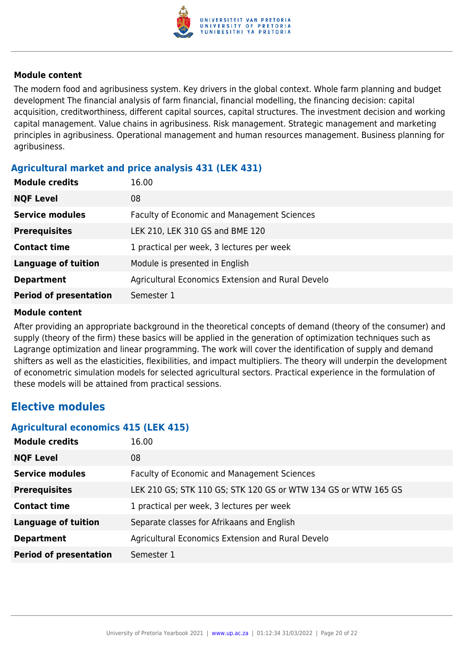

The modern food and agribusiness system. Key drivers in the global context. Whole farm planning and budget development The financial analysis of farm financial, financial modelling, the financing decision: capital acquisition, creditworthiness, different capital sources, capital structures. The investment decision and working capital management. Value chains in agribusiness. Risk management. Strategic management and marketing principles in agribusiness. Operational management and human resources management. Business planning for agribusiness.

## **Agricultural market and price analysis 431 (LEK 431)**

| <b>Module credits</b>         | 16.00                                             |
|-------------------------------|---------------------------------------------------|
| <b>NQF Level</b>              | 08                                                |
| <b>Service modules</b>        | Faculty of Economic and Management Sciences       |
| <b>Prerequisites</b>          | LEK 210, LEK 310 GS and BME 120                   |
| <b>Contact time</b>           | 1 practical per week, 3 lectures per week         |
| <b>Language of tuition</b>    | Module is presented in English                    |
| <b>Department</b>             | Agricultural Economics Extension and Rural Develo |
| <b>Period of presentation</b> | Semester 1                                        |

#### **Module content**

After providing an appropriate background in the theoretical concepts of demand (theory of the consumer) and supply (theory of the firm) these basics will be applied in the generation of optimization techniques such as Lagrange optimization and linear programming. The work will cover the identification of supply and demand shifters as well as the elasticities, flexibilities, and impact multipliers. The theory will underpin the development of econometric simulation models for selected agricultural sectors. Practical experience in the formulation of these models will be attained from practical sessions.

## **Elective modules**

#### **Agricultural economics 415 (LEK 415)**

| <b>Module credits</b>         | 16.00                                                          |
|-------------------------------|----------------------------------------------------------------|
| <b>NQF Level</b>              | 08                                                             |
| <b>Service modules</b>        | <b>Faculty of Economic and Management Sciences</b>             |
| <b>Prerequisites</b>          | LEK 210 GS; STK 110 GS; STK 120 GS or WTW 134 GS or WTW 165 GS |
| <b>Contact time</b>           | 1 practical per week, 3 lectures per week                      |
| <b>Language of tuition</b>    | Separate classes for Afrikaans and English                     |
| <b>Department</b>             | Agricultural Economics Extension and Rural Develo              |
| <b>Period of presentation</b> | Semester 1                                                     |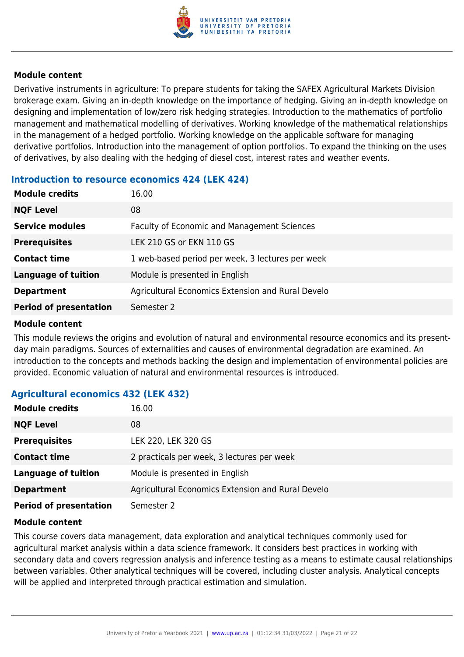

Derivative instruments in agriculture: To prepare students for taking the SAFEX Agricultural Markets Division brokerage exam. Giving an in-depth knowledge on the importance of hedging. Giving an in-depth knowledge on designing and implementation of low/zero risk hedging strategies. Introduction to the mathematics of portfolio management and mathematical modelling of derivatives. Working knowledge of the mathematical relationships in the management of a hedged portfolio. Working knowledge on the applicable software for managing derivative portfolios. Introduction into the management of option portfolios. To expand the thinking on the uses of derivatives, by also dealing with the hedging of diesel cost, interest rates and weather events.

## **Introduction to resource economics 424 (LEK 424)**

| <b>Module credits</b>         | 16.00                                             |
|-------------------------------|---------------------------------------------------|
| <b>NQF Level</b>              | 08                                                |
| <b>Service modules</b>        | Faculty of Economic and Management Sciences       |
| <b>Prerequisites</b>          | LEK 210 GS or EKN 110 GS                          |
| <b>Contact time</b>           | 1 web-based period per week, 3 lectures per week  |
| <b>Language of tuition</b>    | Module is presented in English                    |
| <b>Department</b>             | Agricultural Economics Extension and Rural Develo |
| <b>Period of presentation</b> | Semester 2                                        |
|                               |                                                   |

#### **Module content**

This module reviews the origins and evolution of natural and environmental resource economics and its presentday main paradigms. Sources of externalities and causes of environmental degradation are examined. An introduction to the concepts and methods backing the design and implementation of environmental policies are provided. Economic valuation of natural and environmental resources is introduced.

## **Agricultural economics 432 (LEK 432)**

| <b>Module credits</b>         | 16.00                                             |
|-------------------------------|---------------------------------------------------|
| <b>NQF Level</b>              | 08                                                |
| <b>Prerequisites</b>          | LEK 220, LEK 320 GS                               |
| <b>Contact time</b>           | 2 practicals per week, 3 lectures per week        |
| <b>Language of tuition</b>    | Module is presented in English                    |
| <b>Department</b>             | Agricultural Economics Extension and Rural Develo |
| <b>Period of presentation</b> | Semester 2                                        |

#### **Module content**

This course covers data management, data exploration and analytical techniques commonly used for agricultural market analysis within a data science framework. It considers best practices in working with secondary data and covers regression analysis and inference testing as a means to estimate causal relationships between variables. Other analytical techniques will be covered, including cluster analysis. Analytical concepts will be applied and interpreted through practical estimation and simulation.